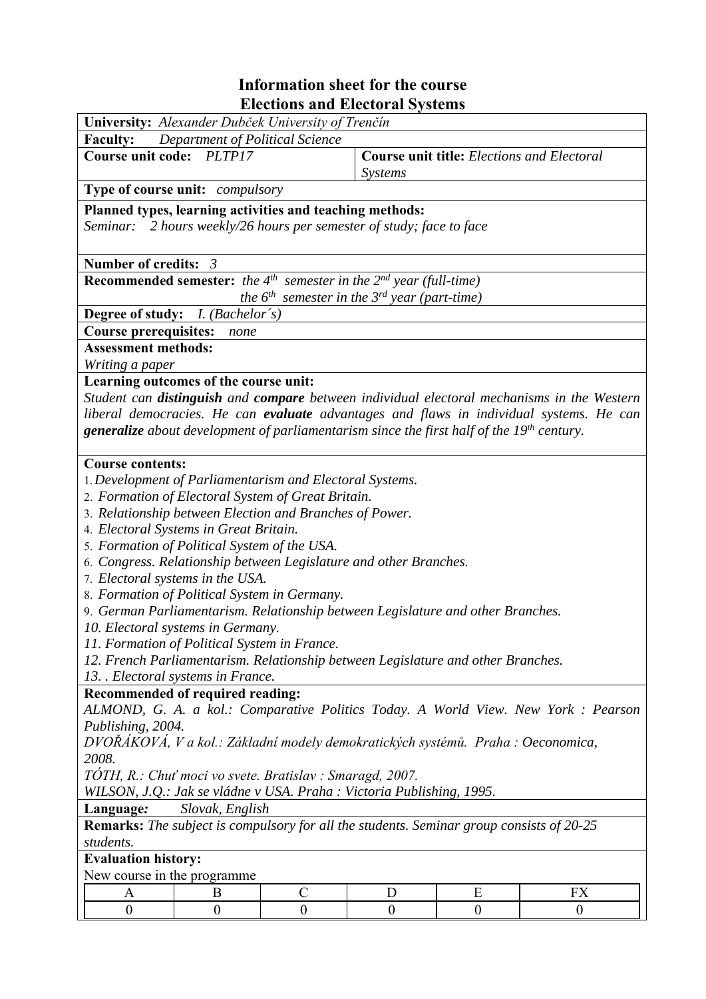## Information sheet for the course **Elections and Electoral Systems**<br>
University: Alexander Dubček University of Trenčín

٦

| <b>Ulliversity.</b> <i>Alexander Dubcek University of Frencin</i>                                                                                 |                  |                       |                |          |                |
|---------------------------------------------------------------------------------------------------------------------------------------------------|------------------|-----------------------|----------------|----------|----------------|
| <b>Faculty:</b><br>Department of Political Science<br><b>Course unit title:</b> Elections and Electoral                                           |                  |                       |                |          |                |
| <b>Course unit code:</b>                                                                                                                          | PLTP17           |                       | <i>Systems</i> |          |                |
| <b>Type of course unit:</b> <i>compulsory</i>                                                                                                     |                  |                       |                |          |                |
| Planned types, learning activities and teaching methods:                                                                                          |                  |                       |                |          |                |
| Seminar: 2 hours weekly/26 hours per semester of study; face to face                                                                              |                  |                       |                |          |                |
|                                                                                                                                                   |                  |                       |                |          |                |
| Number of credits: $3$                                                                                                                            |                  |                       |                |          |                |
| <b>Recommended semester:</b> the $4^{th}$ semester in the $2^{nd}$ year (full-time)                                                               |                  |                       |                |          |                |
| the $6^{th}$ semester in the $3^{rd}$ year (part-time)                                                                                            |                  |                       |                |          |                |
| Degree of study: <i>I. (Bachelor's)</i>                                                                                                           |                  |                       |                |          |                |
| <b>Course prerequisites:</b>                                                                                                                      |                  |                       |                |          |                |
| none<br><b>Assessment methods:</b>                                                                                                                |                  |                       |                |          |                |
|                                                                                                                                                   |                  |                       |                |          |                |
| Writing a paper                                                                                                                                   |                  |                       |                |          |                |
| Learning outcomes of the course unit:<br>Student can <b>distinguish</b> and <b>compare</b> between individual electoral mechanisms in the Western |                  |                       |                |          |                |
| liberal democracies. He can evaluate advantages and flaws in individual systems. He can                                                           |                  |                       |                |          |                |
| <b>generalize</b> about development of parliamentarism since the first half of the $19th$ century.                                                |                  |                       |                |          |                |
|                                                                                                                                                   |                  |                       |                |          |                |
| <b>Course contents:</b>                                                                                                                           |                  |                       |                |          |                |
| 1. Development of Parliamentarism and Electoral Systems.                                                                                          |                  |                       |                |          |                |
| 2. Formation of Electoral System of Great Britain.                                                                                                |                  |                       |                |          |                |
| 3. Relationship between Election and Branches of Power.                                                                                           |                  |                       |                |          |                |
| 4. Electoral Systems in Great Britain.                                                                                                            |                  |                       |                |          |                |
| 5. Formation of Political System of the USA.                                                                                                      |                  |                       |                |          |                |
| 6. Congress. Relationship between Legislature and other Branches.                                                                                 |                  |                       |                |          |                |
| 7. Electoral systems in the USA.                                                                                                                  |                  |                       |                |          |                |
| 8. Formation of Political System in Germany.                                                                                                      |                  |                       |                |          |                |
| 9. German Parliamentarism. Relationship between Legislature and other Branches.                                                                   |                  |                       |                |          |                |
| 10. Electoral systems in Germany.                                                                                                                 |                  |                       |                |          |                |
| 11. Formation of Political System in France.                                                                                                      |                  |                       |                |          |                |
| 12. French Parliamentarism. Relationship between Legislature and other Branches.                                                                  |                  |                       |                |          |                |
| 13. Electoral systems in France.                                                                                                                  |                  |                       |                |          |                |
| Recommended of required reading:                                                                                                                  |                  |                       |                |          |                |
| ALMOND, G. A. a kol.: Comparative Politics Today. A World View. New York : Pearson                                                                |                  |                       |                |          |                |
| Publishing, 2004.                                                                                                                                 |                  |                       |                |          |                |
| DVOŘÁKOVÁ, V a kol.: Základní modely demokratických systémů. Praha : Oeconomica,                                                                  |                  |                       |                |          |                |
| 2008.                                                                                                                                             |                  |                       |                |          |                |
| TÓTH, R.: Chuť moci vo svete. Bratislav : Smaragd, 2007.                                                                                          |                  |                       |                |          |                |
| WILSON, J.Q.: Jak se vládne v USA. Praha : Victoria Publishing, 1995.                                                                             |                  |                       |                |          |                |
| Slovak, English<br>Language:                                                                                                                      |                  |                       |                |          |                |
| <b>Remarks:</b> The subject is compulsory for all the students. Seminar group consists of 20-25                                                   |                  |                       |                |          |                |
| students.                                                                                                                                         |                  |                       |                |          |                |
| <b>Evaluation history:</b>                                                                                                                        |                  |                       |                |          |                |
| New course in the programme                                                                                                                       |                  |                       |                |          |                |
| A                                                                                                                                                 | B                | $\mathcal{C}_{0}^{0}$ | D              | E        | <b>FX</b>      |
| $\boldsymbol{0}$                                                                                                                                  | $\boldsymbol{0}$ | $\overline{0}$        | $\overline{0}$ | $\theta$ | $\overline{0}$ |
|                                                                                                                                                   |                  |                       |                |          |                |